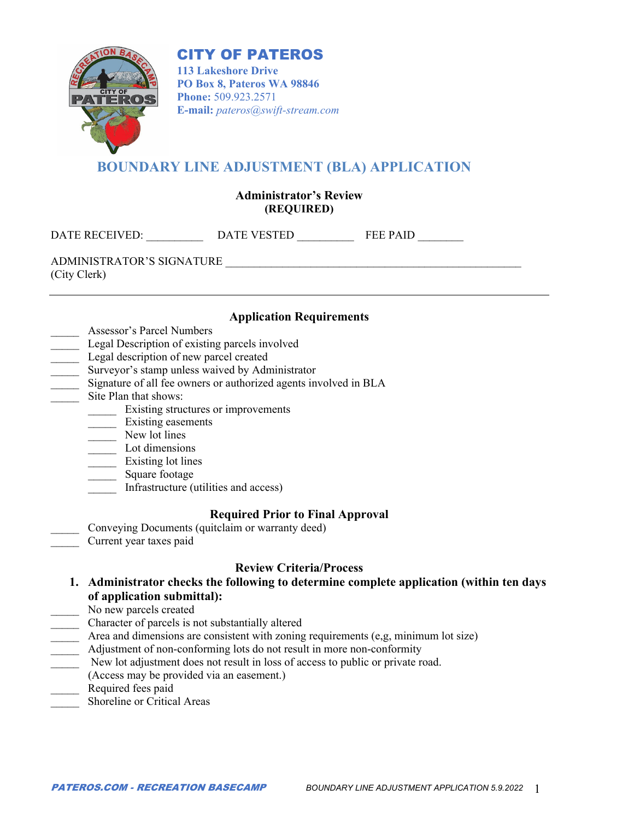# CITY OF PATEROS



**113 Lakeshore Drive PO Box 8, Pateros WA 98846 Phone:** 509.923.2571 **E-mail:** *pateros@swift-stream.com*

# **BOUNDARY LINE ADJUSTMENT (BLA) APPLICATION**

### **Administrator's Review (REQUIRED)**

DATE RECEIVED: \_\_\_\_\_\_\_\_\_\_ DATE VESTED \_\_\_\_\_\_\_\_\_\_ FEE PAID \_\_\_\_\_\_\_\_

ADMINISTRATOR'S SIGNATURE (City Clerk)

#### **Application Requirements**

- \_\_\_\_\_ Assessor's Parcel Numbers
- Legal Description of existing parcels involved
- Legal description of new parcel created
- Surveyor's stamp unless waived by Administrator
- \_\_\_\_\_ Signature of all fee owners or authorized agents involved in BLA
- \_\_\_\_\_ Site Plan that shows:
	- \_\_\_\_\_ Existing structures or improvements
	- \_\_\_\_\_ Existing easements
	- \_\_\_\_\_ New lot lines
	- \_\_\_\_\_ Lot dimensions
	- Existing lot lines
	- \_\_\_\_\_ Square footage
	- \_\_\_\_\_ Infrastructure (utilities and access)

#### **Required Prior to Final Approval**

Conveying Documents (quitclaim or warranty deed) Current year taxes paid

## **Review Criteria/Process**

- **1. Administrator checks the following to determine complete application (within ten days of application submittal):**
- No new parcels created
- \_\_\_\_\_ Character of parcels is not substantially altered
- Area and dimensions are consistent with zoning requirements (e,g, minimum lot size)
- Adjustment of non-conforming lots do not result in more non-conformity
- New lot adjustment does not result in loss of access to public or private road.
- (Access may be provided via an easement.)
- Required fees paid
- Shoreline or Critical Areas